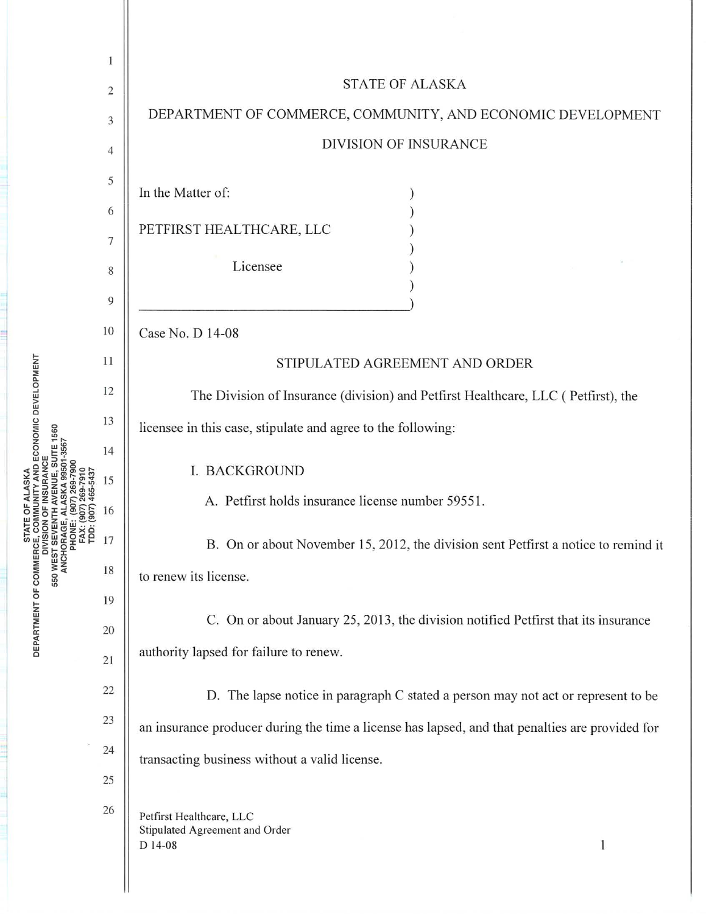|                                                                                                           | 1              |                                                                                                 |
|-----------------------------------------------------------------------------------------------------------|----------------|-------------------------------------------------------------------------------------------------|
| JE, SUII E 1560<br>99501-3567<br><b>550 WEST SEYENI<br/>ANCHORAGE,<br/>PHONE:<br/>FAX: (9<br/>TDD: (9</b> | $\overline{c}$ | <b>STATE OF ALASKA</b>                                                                          |
|                                                                                                           | 3              | DEPARTMENT OF COMMERCE, COMMUNITY, AND ECONOMIC DEVELOPMENT                                     |
|                                                                                                           | $\overline{4}$ | DIVISION OF INSURANCE                                                                           |
|                                                                                                           | 5              |                                                                                                 |
|                                                                                                           | 6              | In the Matter of:                                                                               |
|                                                                                                           | 7              | PETFIRST HEALTHCARE, LLC                                                                        |
|                                                                                                           | 8              | Licensee                                                                                        |
|                                                                                                           | 9              |                                                                                                 |
|                                                                                                           | 10             | Case No. D 14-08                                                                                |
|                                                                                                           | 11             | STIPULATED AGREEMENT AND ORDER                                                                  |
|                                                                                                           | 12             | The Division of Insurance (division) and Petfirst Healthcare, LLC (Petfirst), the               |
|                                                                                                           | 13             | licensee in this case, stipulate and agree to the following:                                    |
|                                                                                                           | 14             |                                                                                                 |
|                                                                                                           | 15             | I. BACKGROUND<br>A. Petfirst holds insurance license number 59551.                              |
|                                                                                                           | 16             |                                                                                                 |
|                                                                                                           | 17             | B. On or about November 15, 2012, the division sent Petfirst a notice to remind it              |
|                                                                                                           | 18             | to renew its license.                                                                           |
|                                                                                                           | 19             | C. On or about January 25, 2013, the division notified Petfirst that its insurance              |
|                                                                                                           | 20             | authority lapsed for failure to renew.                                                          |
|                                                                                                           | 21             |                                                                                                 |
|                                                                                                           | 22<br>23       | D. The lapse notice in paragraph C stated a person may not act or represent to be               |
|                                                                                                           | 24             | an insurance producer during the time a license has lapsed, and that penalties are provided for |
|                                                                                                           | 25             | transacting business without a valid license.                                                   |
|                                                                                                           | 26             |                                                                                                 |
|                                                                                                           |                | Petfirst Healthcare, LLC<br>Stipulated Agreement and Order<br>1<br>D 14-08                      |
|                                                                                                           |                |                                                                                                 |
|                                                                                                           |                |                                                                                                 |

IENT OF

É

 $\Xi$ DEP,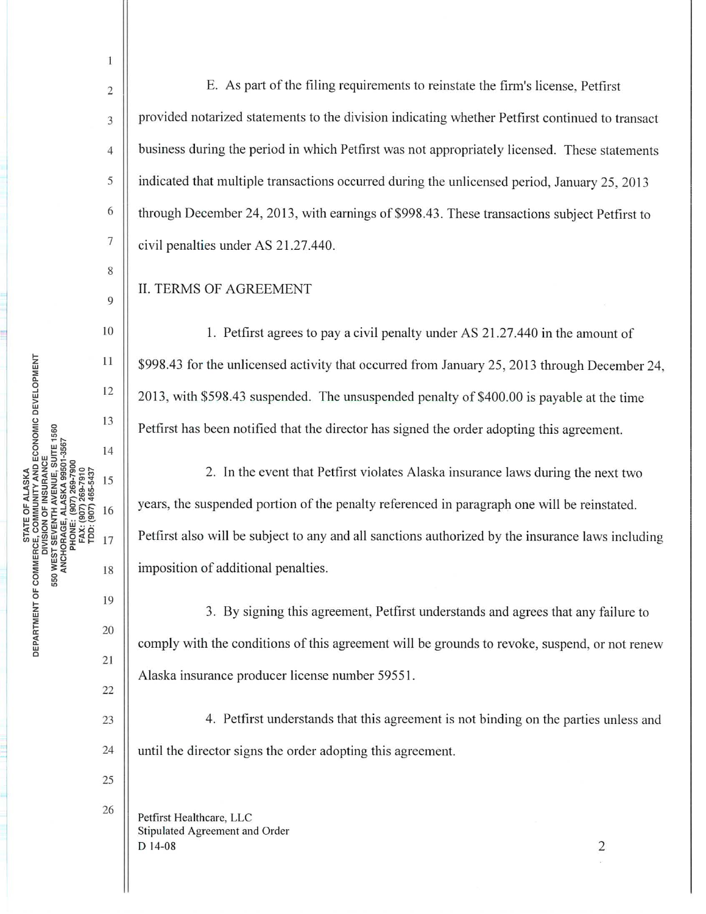ANCHORAGE, ALASKA 9950 FAX: (907) 269-7910<br>TDD: (907) 465-5437 RTMENT OF DEP<br>

2

1

3

4

5

6

7

8

9

10

11

12

13

14

15

16

17

19

18

20

21

22

23

24

25

26

**Jane** l

E. As part of the filing requirements to reinstate the firm's license, Petfirst provided notarized statements to the division indicating whether Petfirst continued to transact business during the period in which Petfirst was not appropriately licensed. These statements indicated that multiple transactions occurred during the unlicensed period, January 25, 2013 through December 24, 2013, with earnings of \$998.43. These transactions subject Petfirst to civil penalties under AS 21.27.440.

II. TERMS OF AGREEMENT

1. Petfirst agrees to pay a civil penalty under AS 21.27.440 in the amount of \$998.43 for the unlicensed activity that occurred from January 25, 2013 through December 24, 2013, with \$598.43 suspended. The unsuspended penalty of \$400.00 is payable at the time Petfirst has been notified that the director has signed the order adopting this agreement.

2. In the event that Petfirst violates Alaska insurance laws during the next two years, the suspended portion of the penalty referenced in paragraph one will be reinstated. Petfirst also will be subject to any and all sanctions authorized by the insurance laws including imposition of additional penalties.

3. By signing this agreement, Petfirst understands and agrees that any failure to comply with the conditions of this agreement will be grounds to revoke, suspend, or not renew Alaska insurance producer license number 5955 1.

4. Petfirst understands that this agreement is not binding on the parties unless and until the director signs the order adopting this agreement.

Petfirst Healthcare, LLC Stipulated Agreement and Order  $D$  14-08 2